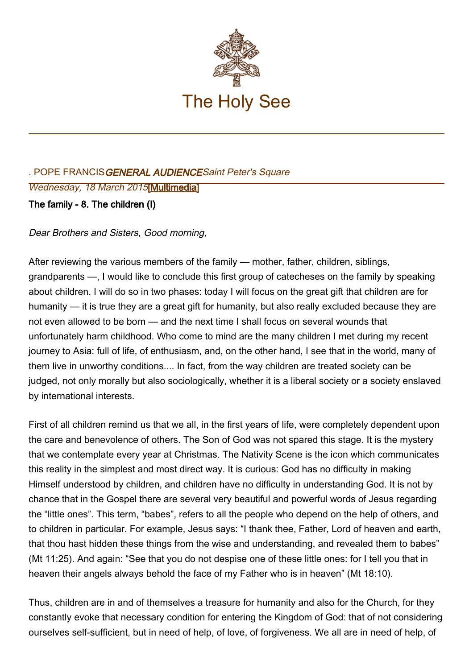

## . POPE FRANCISGENERAL AUDIENCESaint Peter's Square Wednesday, 18 March 2015 Multimedia

## The family - 8. The children (I)

Dear Brothers and Sisters, Good morning,

After reviewing the various members of the family — mother, father, children, siblings, grandparents —, I would like to conclude this first group of catecheses on the family by speaking about children. I will do so in two phases: today I will focus on the great gift that children are for humanity — it is true they are a great gift for humanity, but also really excluded because they are not even allowed to be born — and the next time I shall focus on several wounds that unfortunately harm childhood. Who come to mind are the many children I met during my recent journey to Asia: full of life, of enthusiasm, and, on the other hand, I see that in the world, many of them live in unworthy conditions.... In fact, from the way children are treated society can be judged, not only morally but also sociologically, whether it is a liberal society or a society enslaved by international interests.

First of all children remind us that we all, in the first years of life, were completely dependent upon the care and benevolence of others. The Son of God was not spared this stage. It is the mystery that we contemplate every year at Christmas. The Nativity Scene is the icon which communicates this reality in the simplest and most direct way. It is curious: God has no difficulty in making Himself understood by children, and children have no difficulty in understanding God. It is not by chance that in the Gospel there are several very beautiful and powerful words of Jesus regarding the "little ones". This term, "babes", refers to all the people who depend on the help of others, and to children in particular. For example, Jesus says: "I thank thee, Father, Lord of heaven and earth, that thou hast hidden these things from the wise and understanding, and revealed them to babes" (Mt 11:25). And again: "See that you do not despise one of these little ones: for I tell you that in heaven their angels always behold the face of my Father who is in heaven" (Mt 18:10).

Thus, children are in and of themselves a treasure for humanity and also for the Church, for they constantly evoke that necessary condition for entering the Kingdom of God: that of not considering ourselves self-sufficient, but in need of help, of love, of forgiveness. We all are in need of help, of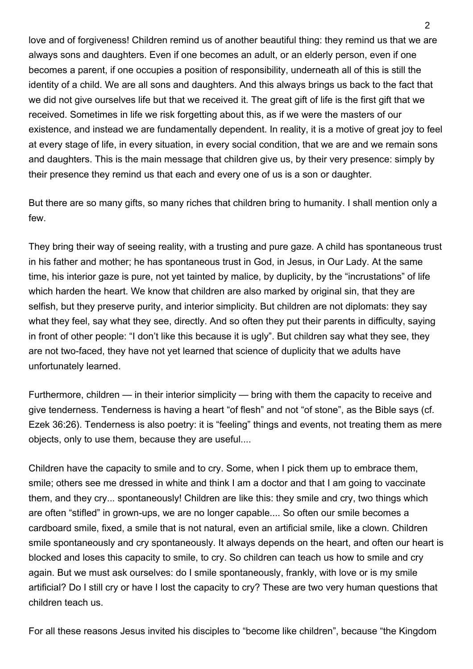love and of forgiveness! Children remind us of another beautiful thing: they remind us that we are always sons and daughters. Even if one becomes an adult, or an elderly person, even if one becomes a parent, if one occupies a position of responsibility, underneath all of this is still the identity of a child. We are all sons and daughters. And this always brings us back to the fact that we did not give ourselves life but that we received it. The great gift of life is the first gift that we received. Sometimes in life we risk forgetting about this, as if we were the masters of our existence, and instead we are fundamentally dependent. In reality, it is a motive of great joy to feel at every stage of life, in every situation, in every social condition, that we are and we remain sons and daughters. This is the main message that children give us, by their very presence: simply by their presence they remind us that each and every one of us is a son or daughter.

But there are so many gifts, so many riches that children bring to humanity. I shall mention only a few.

They bring their way of seeing reality, with a trusting and pure gaze. A child has spontaneous trust in his father and mother; he has spontaneous trust in God, in Jesus, in Our Lady. At the same time, his interior gaze is pure, not yet tainted by malice, by duplicity, by the "incrustations" of life which harden the heart. We know that children are also marked by original sin, that they are selfish, but they preserve purity, and interior simplicity. But children are not diplomats: they say what they feel, say what they see, directly. And so often they put their parents in difficulty, saying in front of other people: "I don't like this because it is ugly". But children say what they see, they are not two-faced, they have not yet learned that science of duplicity that we adults have unfortunately learned.

Furthermore, children — in their interior simplicity — bring with them the capacity to receive and give tenderness. Tenderness is having a heart "of flesh" and not "of stone", as the Bible says (cf. Ezek 36:26). Tenderness is also poetry: it is "feeling" things and events, not treating them as mere objects, only to use them, because they are useful....

Children have the capacity to smile and to cry. Some, when I pick them up to embrace them, smile; others see me dressed in white and think I am a doctor and that I am going to vaccinate them, and they cry... spontaneously! Children are like this: they smile and cry, two things which are often "stifled" in grown-ups, we are no longer capable.... So often our smile becomes a cardboard smile, fixed, a smile that is not natural, even an artificial smile, like a clown. Children smile spontaneously and cry spontaneously. It always depends on the heart, and often our heart is blocked and loses this capacity to smile, to cry. So children can teach us how to smile and cry again. But we must ask ourselves: do I smile spontaneously, frankly, with love or is my smile artificial? Do I still cry or have I lost the capacity to cry? These are two very human questions that children teach us.

For all these reasons Jesus invited his disciples to "become like children", because "the Kingdom